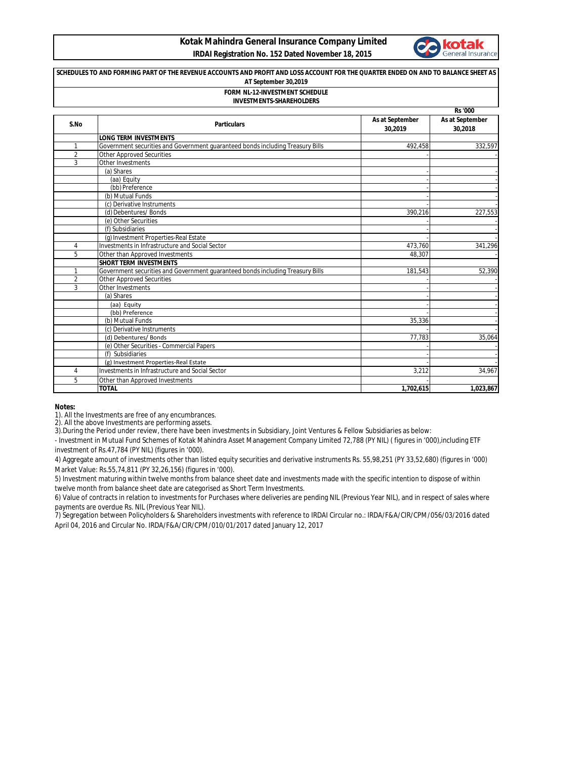## **Kotak Mahindra General Insurance Company Limited IRDAI Registration No. 152 Dated November 18, 2015**



## **Rs '000 SCHEDULES TO AND FORMING PART OF THE REVENUE ACCOUNTS AND PROFIT AND LOSS ACCOUNT FOR THE QUARTER ENDED ON AND TO BALANCE SHEET AS AT September 30,2019 FORM NL-12-INVESTMENT SCHEDULE INVESTMENTS-SHAREHOLDERS**

| S.No           | <b>Particulars</b>                                                             | As at September<br>30,2019 | As at September<br>30.2018 |
|----------------|--------------------------------------------------------------------------------|----------------------------|----------------------------|
|                | <b>LONG TERM INVESTMENTS</b>                                                   |                            |                            |
|                | Government securities and Government quaranteed bonds including Treasury Bills | 492,458                    | 332,597                    |
| $\overline{2}$ | <b>Other Approved Securities</b>                                               |                            |                            |
| 3              | Other Investments                                                              |                            |                            |
|                | (a) Shares                                                                     |                            |                            |
|                | (aa) Equity                                                                    |                            |                            |
|                | (bb) Preference                                                                |                            |                            |
|                | (b) Mutual Funds                                                               |                            |                            |
|                | (c) Derivative Instruments                                                     |                            |                            |
|                | (d) Debentures/ Bonds                                                          | 390.216                    | 227,553                    |
|                | (e) Other Securities                                                           |                            |                            |
|                | (f) Subsidiaries                                                               |                            |                            |
|                | (g) Investment Properties-Real Estate                                          |                            |                            |
| 4              | Investments in Infrastructure and Social Sector                                | 473,760                    | 341,296                    |
| 5              | Other than Approved Investments                                                | 48.307                     |                            |
|                | <b>SHORT TERM INVESTMENTS</b>                                                  |                            |                            |
|                | Government securities and Government guaranteed bonds including Treasury Bills | 181.543                    | 52,390                     |
| $\overline{2}$ | <b>Other Approved Securities</b>                                               |                            |                            |
| 3              | Other Investments                                                              |                            |                            |
|                | (a) Shares                                                                     |                            |                            |
|                | (aa) Equity                                                                    |                            |                            |
|                | (bb) Preference                                                                |                            |                            |
|                | (b) Mutual Funds                                                               | 35,336                     |                            |
|                | (c) Derivative Instruments                                                     |                            |                            |
|                | (d) Debentures/Bonds                                                           | 77.783                     | 35,064                     |
|                | (e) Other Securities - Commercial Papers                                       |                            |                            |
|                | (f) Subsidiaries                                                               |                            |                            |
|                | (g) Investment Properties-Real Estate                                          |                            |                            |
| 4              | Investments in Infrastructure and Social Sector                                | 3,212                      | 34,967                     |
| 5              | Other than Approved Investments                                                |                            |                            |
|                | <b>TOTAL</b>                                                                   | 1,702,615                  | 1,023,867                  |

## **Notes:**

1). All the Investments are free of any encumbrances.

2). All the above Investments are performing assets.

3).During the Period under review, there have been investments in Subsidiary, Joint Ventures & Fellow Subsidiaries as below:

- Investment in Mutual Fund Schemes of Kotak Mahindra Asset Management Company Limited 72,788 (PY NIL) ( figures in '000),including ETF investment of Rs.47,784 (PY NIL) (figures in '000).

4) Aggregate amount of investments other than listed equity securities and derivative instruments Rs. 55,98,251 (PY 33,52,680) (figures in '000) Market Value: Rs.55,74,811 (PY 32,26,156) (figures in '000).

5) Investment maturing within twelve months from balance sheet date and investments made with the specific intention to dispose of within twelve month from balance sheet date are categorised as Short Term Investments.

6) Value of contracts in relation to investments for Purchases where deliveries are pending NIL (Previous Year NIL), and in respect of sales where payments are overdue Rs. NIL (Previous Year NIL).

7) Segregation between Policyholders & Shareholders investments with reference to IRDAI Circular no.: IRDA/F&A/CIR/CPM/056/03/2016 dated April 04, 2016 and Circular No. IRDA/F&A/CIR/CPM/010/01/2017 dated January 12, 2017